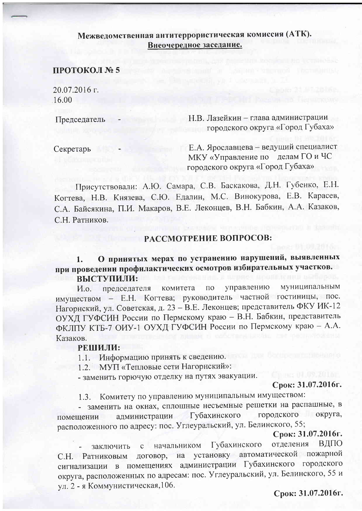# Межведомственная антитеррористическая комиссия (АТК). Внеочередное заседание.

### ПРОТОКОЛ № 5

20.07.2016 г. 16.00

Председатель

Н.В. Лазейкин - глава администрации городского округа «Город Губаха»

Секретарь

Е.А. Ярославцева - ведущий специалист МКУ «Управление по делам ГО и ЧС городского округа «Город Губаха»

Присутствовали: А.Ю. Самара, С.В. Баскакова, Д.Н. Губенко, Е.Н. Когтева, Н.В. Князева, С.Ю. Едалин, М.С. Винокурова, Е.В. Карасев, С.А. Байсякина, П.И. Макаров, В.Е. Леконцев, В.Н. Бабкин, А.А. Казаков, С.Н. Ратников.

## РАССМОТРЕНИЕ ВОПРОСОВ:

О принятых мерах по устранению нарушений, выявленных  $1.$ при проведении профилактических осмотров избирательных участков. ВЫСТУПИЛИ:

управлению муниципальным комитета  $\Pi$ <sup>O</sup> *H.o.* председателя имуществом - Е.Н. Когтева; руководитель частной гостиницы, пос. Нагорнский, ул. Советская, д. 23 - В.Е. Леконцев; представитель ФКУ ИК-12 ОУХД ГУФСИН России по Пермскому краю - В.Н. Бабкин, представитель ФКЛІТУ КТБ-7 ОИУ-1 ОУХД ГУФСИН России по Пермскому краю - А.А. Казаков.

#### РЕШИЛИ:

Информацию принять к сведению.  $1.1-$ 

1.2. МУП «Тепловые сети Нагорнский»:

- заменить горючую отделку на путях эвакуации.

Срок: 31.07.2016г.

Комитету по управлению муниципальным имуществом:  $1.3.$ 

- заменить на окнах, сплошные несъемные решетки на распашные, в городского округа. Губахинского администрации помещении расположенного по адресу: пос. Углеуральский, ул. Белинского, 55;

### Срок: 31.07.2016г.

отделения ВДПО Губахинского начальником  $c$ заключить С.Н. Ратниковым договор, на установку автоматической пожарной сигнализации в помещениях администрации Губахинского городского округа, расположенных по адресам: пос. Углеуральский, ул. Белинского, 55 и ул. 2 - я Коммунистическая, 106.

Срок: 31.07.2016г.